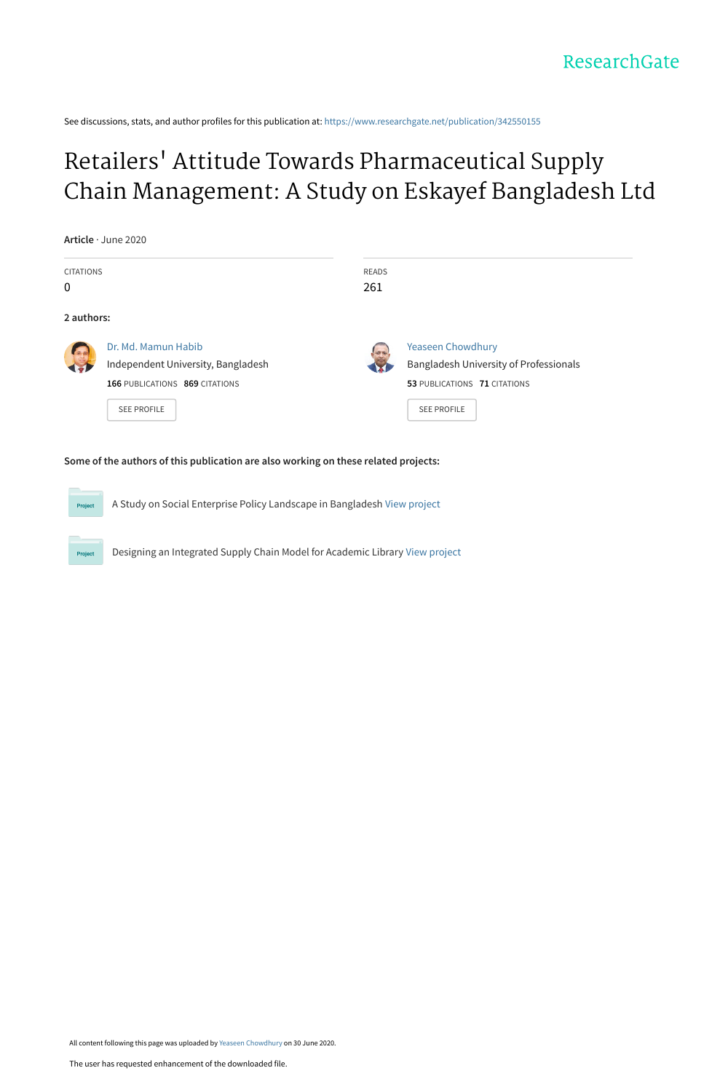See discussions, stats, and author profiles for this publication at: [https://www.researchgate.net/publication/342550155](https://www.researchgate.net/publication/342550155_Retailers%27_Attitude_Towards_Pharmaceutical_Supply_Chain_Management_A_Study_on_Eskayef_Bangladesh_Ltd?enrichId=rgreq-b1cec0de302438588fbb00cbf6c14cd6-XXX&enrichSource=Y292ZXJQYWdlOzM0MjU1MDE1NTtBUzo5MDgwMzU3NTcxNzg4ODNAMTU5MzUwNDAwMzQ5Nw%3D%3D&el=1_x_2&_esc=publicationCoverPdf)

# Retailers' Attitude Towards Pharmaceutical Supply [Chain Management: A Study on Eskayef Bangladesh Ltd](https://www.researchgate.net/publication/342550155_Retailers%27_Attitude_Towards_Pharmaceutical_Supply_Chain_Management_A_Study_on_Eskayef_Bangladesh_Ltd?enrichId=rgreq-b1cec0de302438588fbb00cbf6c14cd6-XXX&enrichSource=Y292ZXJQYWdlOzM0MjU1MDE1NTtBUzo5MDgwMzU3NTcxNzg4ODNAMTU5MzUwNDAwMzQ5Nw%3D%3D&el=1_x_3&_esc=publicationCoverPdf)

| <b>CITATIONS</b> |                                    | READS |                                        |
|------------------|------------------------------------|-------|----------------------------------------|
|                  |                                    | 261   |                                        |
| 2 authors:       |                                    |       |                                        |
| 60               | Dr. Md. Mamun Habib                |       | Yeaseen Chowdhury                      |
|                  | Independent University, Bangladesh |       | Bangladesh University of Professionals |
|                  | 166 PUBLICATIONS 869 CITATIONS     |       | 53 PUBLICATIONS 71 CITATIONS           |
|                  | <b>SEE PROFILE</b>                 |       | <b>SEE PROFILE</b>                     |

#### **Some of the authors of this publication are also working on these related projects:**

A Study on Social Enterprise Policy Landscape in Bangladesh [View project](https://www.researchgate.net/project/A-Study-on-Social-Enterprise-Policy-Landscape-in-Bangladesh?enrichId=rgreq-b1cec0de302438588fbb00cbf6c14cd6-XXX&enrichSource=Y292ZXJQYWdlOzM0MjU1MDE1NTtBUzo5MDgwMzU3NTcxNzg4ODNAMTU5MzUwNDAwMzQ5Nw%3D%3D&el=1_x_9&_esc=publicationCoverPdf)

Designing an Integrated Supply Chain Model for Academic Library [View project](https://www.researchgate.net/project/Designing-an-Integrated-Supply-Chain-Model-for-Academic-Library?enrichId=rgreq-b1cec0de302438588fbb00cbf6c14cd6-XXX&enrichSource=Y292ZXJQYWdlOzM0MjU1MDE1NTtBUzo5MDgwMzU3NTcxNzg4ODNAMTU5MzUwNDAwMzQ5Nw%3D%3D&el=1_x_9&_esc=publicationCoverPdf)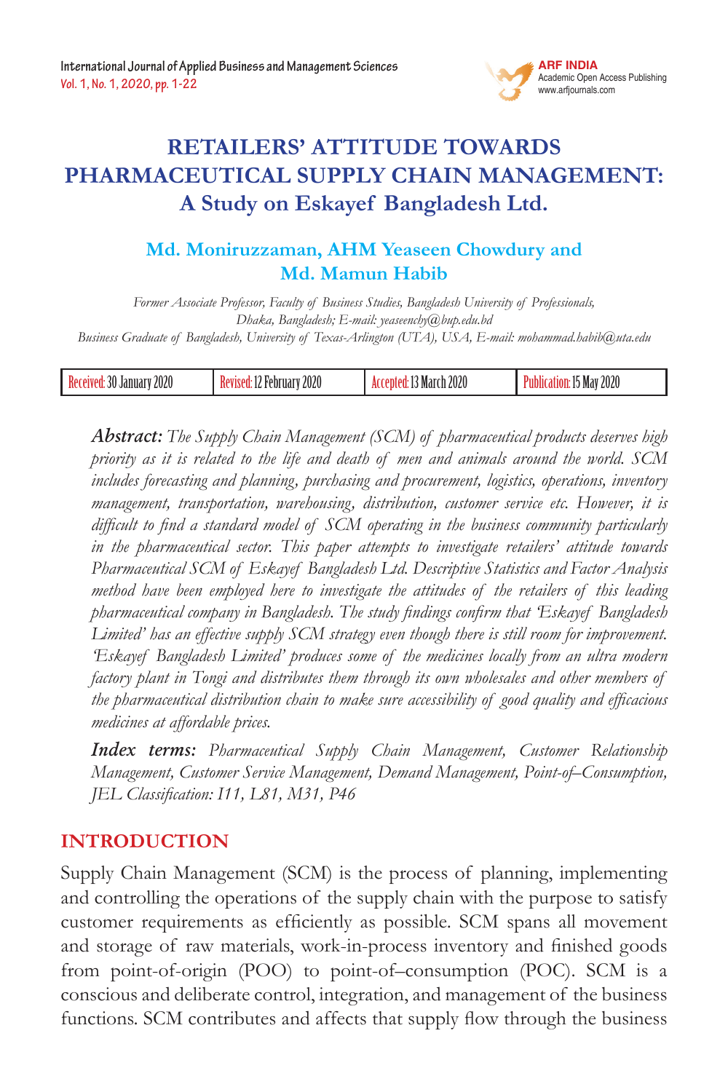

# **Retailers' Attitude towards Pharmaceutical Supply Chain Management: A Study on Eskayef Bangladesh Ltd.**

# **Md. Moniruzzaman, AHM Yeaseen Chowdury and Md. Mamun Habib**

*Former Associate Professor, Faculty of Business Studies, Bangladesh University of Professionals, Dhaka, Bangladesh; E-mail: yeaseenchy@bup.edu.bd Business Graduate of Bangladesh, University of Texas-Arlington (UTA), USA, E-mail: mohammad.habib@uta.edu*

| Received:<br>30<br>וונצוו<br>January<br>WW | 2020<br>JU UOV<br>-nr<br>17 | 2020<br>, Marchi | 2020<br>Mav |
|--------------------------------------------|-----------------------------|------------------|-------------|
|--------------------------------------------|-----------------------------|------------------|-------------|

*Abstract: The Supply Chain Management (SCM) of pharmaceutical products deserves high priority as it is related to the life and death of men and animals around the world. SCM includes forecasting and planning, purchasing and procurement, logistics, operations, inventory management, transportation, warehousing, distribution, customer service etc. However, it is difficult to find a standard model of SCM operating in the business community particularly in the pharmaceutical sector. This paper attempts to investigate retailers' attitude towards Pharmaceutical SCM of Eskayef Bangladesh Ltd. Descriptive Statistics and Factor Analysis method have been employed here to investigate the attitudes of the retailers of this leading pharmaceutical company in Bangladesh. The study findings confirm that 'Eskayef Bangladesh Limited' has an effective supply SCM strategy even though there is still room for improvement. 'Eskayef Bangladesh Limited' produces some of the medicines locally from an ultra modern factory plant in Tongi and distributes them through its own wholesales and other members of the pharmaceutical distribution chain to make sure accessibility of good quality and efficacious medicines at affordable prices.*

*Index terms: Pharmaceutical Supply Chain Management, Customer Relationship Management, Customer Service Management, Demand Management, Point-of–Consumption, JEL Classification: I11, L81, M31, P46*

# **INTRODUCTION**

Supply Chain Management (SCM) is the process of planning, implementing and controlling the operations of the supply chain with the purpose to satisfy customer requirements as efficiently as possible. SCM spans all movement and storage of raw materials, work-in-process inventory and finished goods from point-of-origin (POO) to point-of–consumption (POC). SCM is a conscious and deliberate control, integration, and management of the business functions. SCM contributes and affects that supply flow through the business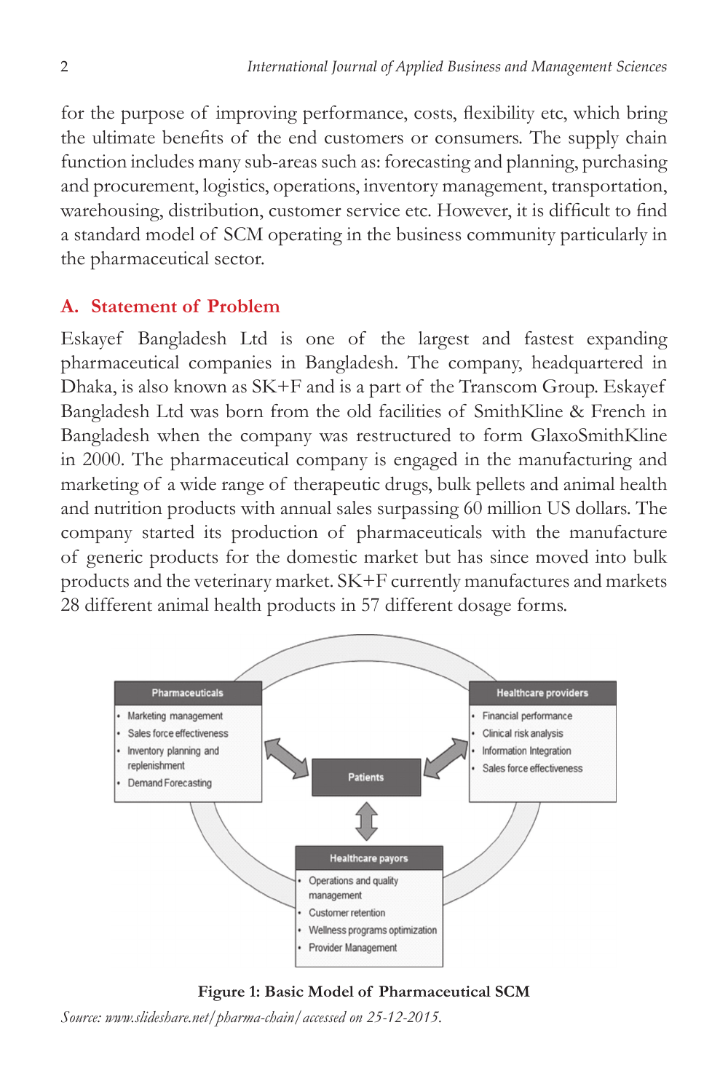for the purpose of improving performance, costs, flexibility etc, which bring the ultimate benefits of the end customers or consumers. The supply chain function includes many sub-areas such as: forecasting and planning, purchasing and procurement, logistics, operations, inventory management, transportation, warehousing, distribution, customer service etc. However, it is difficult to find a standard model of SCM operating in the business community particularly in the pharmaceutical sector.

# **A. Statement of Problem**

Eskayef Bangladesh Ltd is one of the largest and fastest expanding pharmaceutical companies in Bangladesh. The company, headquartered in Dhaka, is also known as SK+F and is a part of the Transcom Group. Eskayef Bangladesh Ltd was born from the old facilities of SmithKline & French in Bangladesh when the company was restructured to form GlaxoSmithKline in 2000. The pharmaceutical company is engaged in the manufacturing and marketing of a wide range of therapeutic drugs, bulk pellets and animal health and nutrition products with annual sales surpassing 60 million US dollars. The company started its production of pharmaceuticals with the manufacture of generic products for the domestic market but has since moved into bulk products and the veterinary market. SK+F currently manufactures and markets 28 different animal health products in 57 different dosage forms.



**Figure 1: Basic Model of Pharmaceutical SCM**

*Source: www.slideshare.net/pharma-chain/accessed on 25-12-2015.*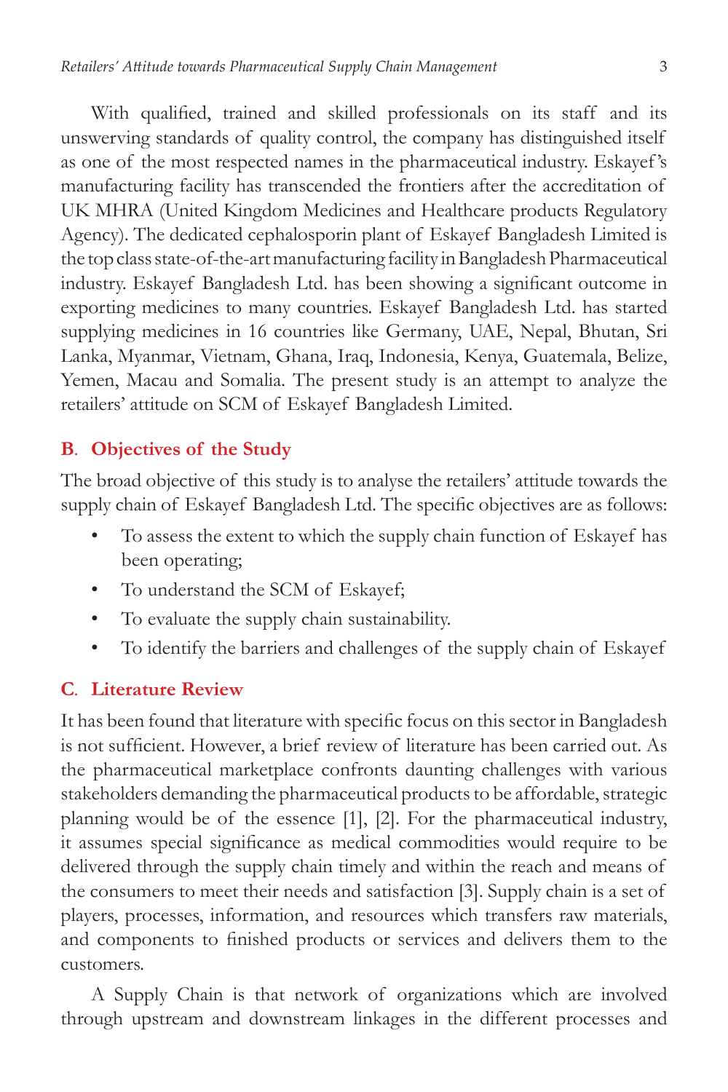With qualified, trained and skilled professionals on its staff and its unswerving standards of quality control, the company has distinguished itself as one of the most respected names in the pharmaceutical industry. Eskayef 's manufacturing facility has transcended the frontiers after the accreditation of UK MHRA (United Kingdom Medicines and Healthcare products Regulatory Agency). The dedicated cephalosporin plant of Eskayef Bangladesh Limited is the top class state-of-the-art manufacturing facility in Bangladesh Pharmaceutical industry. Eskayef Bangladesh Ltd. has been showing a significant outcome in exporting medicines to many countries. Eskayef Bangladesh Ltd. has started supplying medicines in 16 countries like Germany, UAE, Nepal, Bhutan, Sri Lanka, Myanmar, Vietnam, Ghana, Iraq, Indonesia, Kenya, Guatemala, Belize, Yemen, Macau and Somalia. The present study is an attempt to analyze the retailers' attitude on SCM of Eskayef Bangladesh Limited.

#### **B***.* **Objectives of the Study**

The broad objective of this study is to analyse the retailers' attitude towards the supply chain of Eskayef Bangladesh Ltd. The specific objectives are as follows:

- To assess the extent to which the supply chain function of Eskayef has been operating;
- To understand the SCM of Eskayef;
- To evaluate the supply chain sustainability.
- To identify the barriers and challenges of the supply chain of Eskayef

# **C***.* **Literature Review**

It has been found that literature with specific focus on this sector in Bangladesh is not sufficient. However, a brief review of literature has been carried out. As the pharmaceutical marketplace confronts daunting challenges with various stakeholders demanding the pharmaceutical products to be affordable, strategic planning would be of the essence [1], [2]. For the pharmaceutical industry, it assumes special significance as medical commodities would require to be delivered through the supply chain timely and within the reach and means of the consumers to meet their needs and satisfaction [3]. Supply chain is a set of players, processes, information, and resources which transfers raw materials, and components to finished products or services and delivers them to the customers.

A Supply Chain is that network of organizations which are involved through upstream and downstream linkages in the different processes and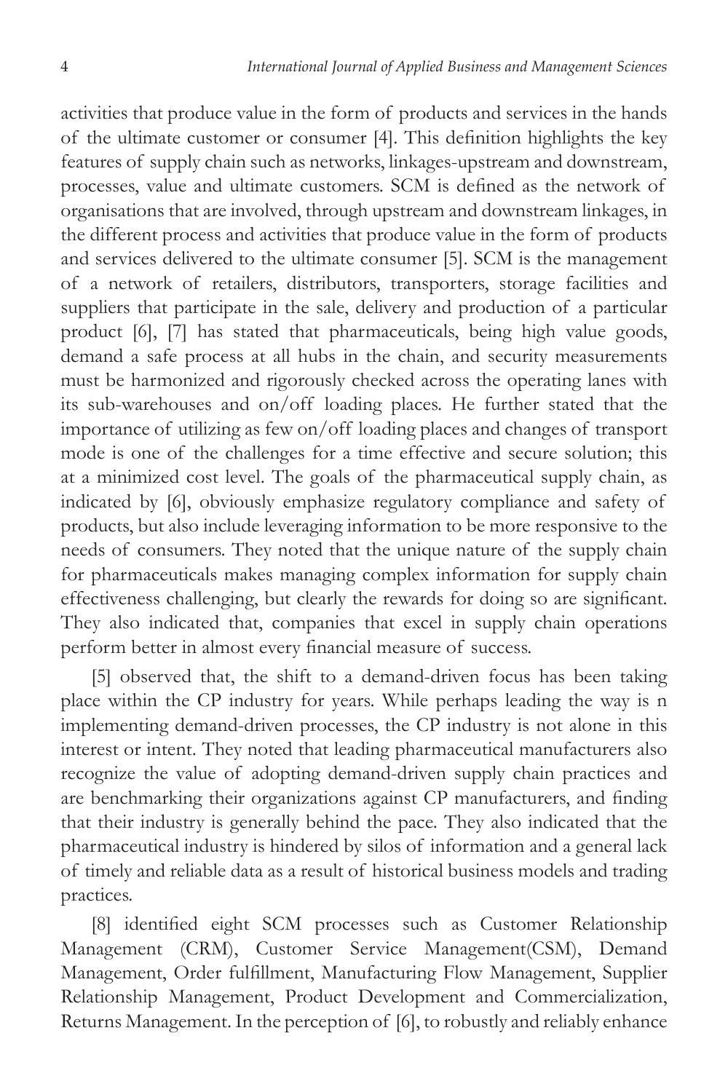activities that produce value in the form of products and services in the hands of the ultimate customer or consumer [4]. This definition highlights the key features of supply chain such as networks, linkages-upstream and downstream, processes, value and ultimate customers. SCM is defined as the network of organisations that are involved, through upstream and downstream linkages, in the different process and activities that produce value in the form of products and services delivered to the ultimate consumer [5]. SCM is the management of a network of retailers, distributors, transporters, storage facilities and suppliers that participate in the sale, delivery and production of a particular product [6], [7] has stated that pharmaceuticals, being high value goods, demand a safe process at all hubs in the chain, and security measurements must be harmonized and rigorously checked across the operating lanes with its sub-warehouses and on/off loading places. He further stated that the importance of utilizing as few on/off loading places and changes of transport mode is one of the challenges for a time effective and secure solution; this at a minimized cost level. The goals of the pharmaceutical supply chain, as indicated by [6], obviously emphasize regulatory compliance and safety of products, but also include leveraging information to be more responsive to the needs of consumers. They noted that the unique nature of the supply chain for pharmaceuticals makes managing complex information for supply chain effectiveness challenging, but clearly the rewards for doing so are significant. They also indicated that, companies that excel in supply chain operations perform better in almost every financial measure of success.

[5] observed that, the shift to a demand-driven focus has been taking place within the CP industry for years. While perhaps leading the way is n implementing demand-driven processes, the CP industry is not alone in this interest or intent. They noted that leading pharmaceutical manufacturers also recognize the value of adopting demand-driven supply chain practices and are benchmarking their organizations against CP manufacturers, and finding that their industry is generally behind the pace. They also indicated that the pharmaceutical industry is hindered by silos of information and a general lack of timely and reliable data as a result of historical business models and trading practices.

[8] identified eight SCM processes such as Customer Relationship Management (CRM), Customer Service Management(CSM), Demand Management, Order fulfillment, Manufacturing Flow Management, Supplier Relationship Management, Product Development and Commercialization, Returns Management. In the perception of [6], to robustly and reliably enhance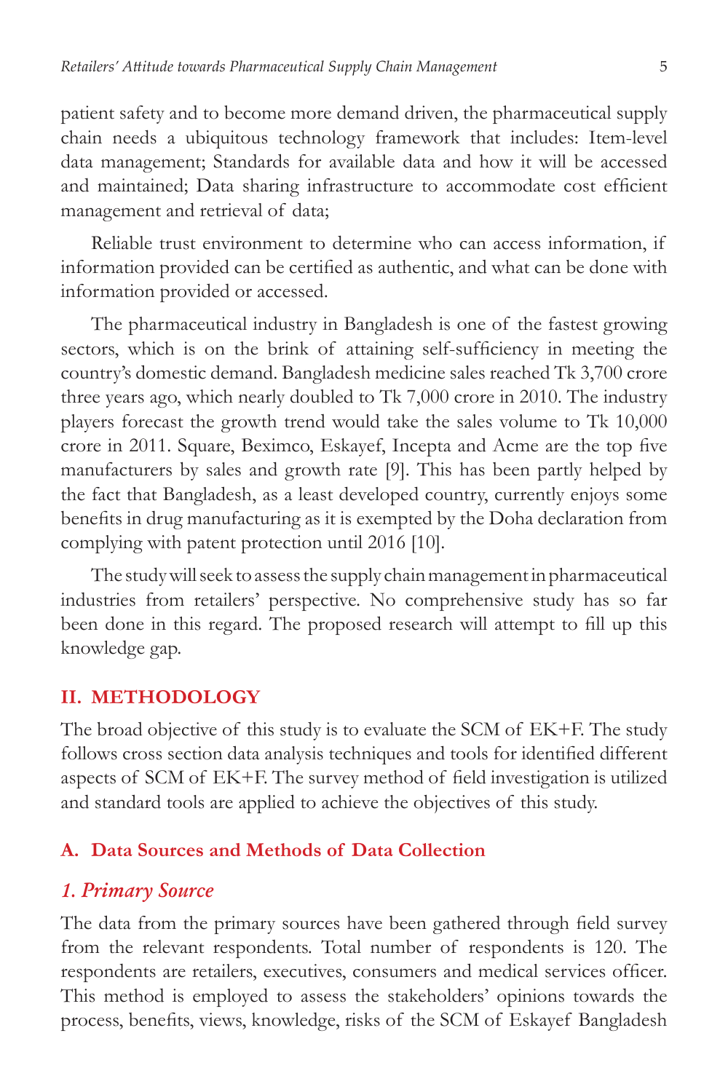patient safety and to become more demand driven, the pharmaceutical supply chain needs a ubiquitous technology framework that includes: Item-level data management; Standards for available data and how it will be accessed and maintained; Data sharing infrastructure to accommodate cost efficient management and retrieval of data;

Reliable trust environment to determine who can access information, if information provided can be certified as authentic, and what can be done with information provided or accessed.

The pharmaceutical industry in Bangladesh is one of the fastest growing sectors, which is on the brink of attaining self-sufficiency in meeting the country's domestic demand. Bangladesh medicine sales reached Tk 3,700 crore three years ago, which nearly doubled to Tk 7,000 crore in 2010. The industry players forecast the growth trend would take the sales volume to Tk 10,000 crore in 2011. Square, Beximco, Eskayef, Incepta and Acme are the top five manufacturers by sales and growth rate [9]. This has been partly helped by the fact that Bangladesh, as a least developed country, currently enjoys some benefits in drug manufacturing as it is exempted by the Doha declaration from complying with patent protection until 2016 [10].

The study will seek to assess the supply chain management in pharmaceutical industries from retailers' perspective. No comprehensive study has so far been done in this regard. The proposed research will attempt to fill up this knowledge gap.

#### **II. METHODOLOGY**

The broad objective of this study is to evaluate the SCM of EK+F. The study follows cross section data analysis techniques and tools for identified different aspects of SCM of EK+F. The survey method of field investigation is utilized and standard tools are applied to achieve the objectives of this study.

#### **A. Data Sources and Methods of Data Collection**

#### *1. Primary Source*

The data from the primary sources have been gathered through field survey from the relevant respondents. Total number of respondents is 120. The respondents are retailers, executives, consumers and medical services officer. This method is employed to assess the stakeholders' opinions towards the process, benefits, views, knowledge, risks of the SCM of Eskayef Bangladesh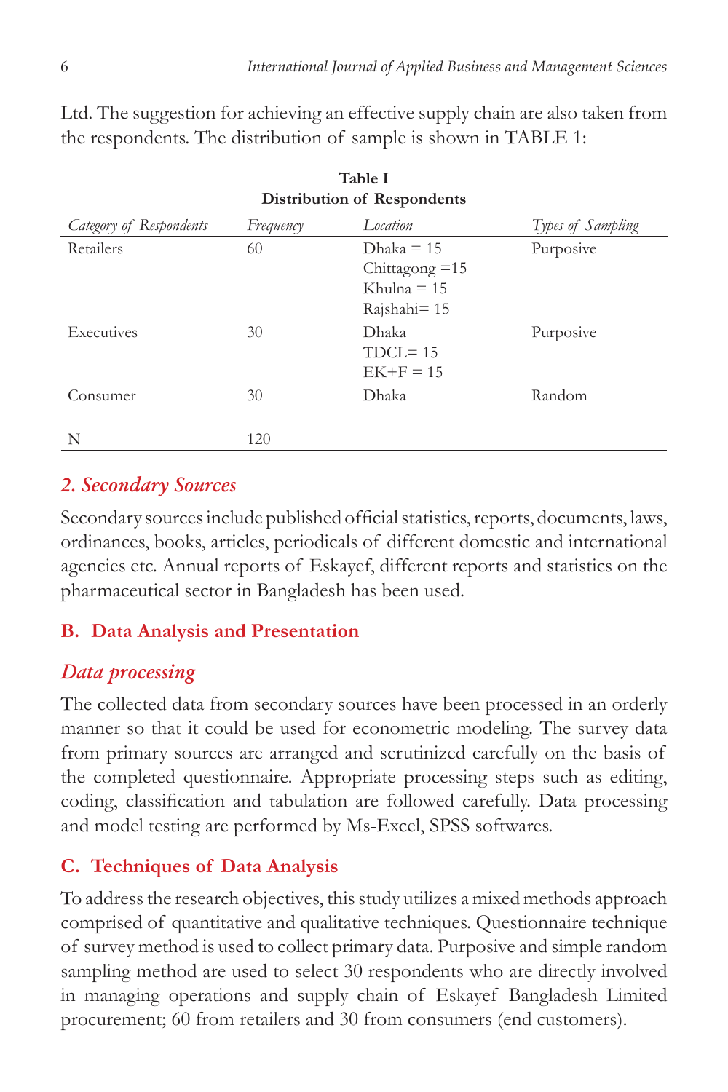| $\frac{1}{2}$<br>Distribution of Respondents |                  |                   |  |  |  |  |  |
|----------------------------------------------|------------------|-------------------|--|--|--|--|--|
| Frequency                                    | Location         | Types of Sampling |  |  |  |  |  |
| 60                                           | Dhaka $= 15$     | Purposive         |  |  |  |  |  |
|                                              | Chittagong $=15$ |                   |  |  |  |  |  |
|                                              | Khulna $= 15$    |                   |  |  |  |  |  |
|                                              | $Rajshahi = 15$  |                   |  |  |  |  |  |
| 30                                           | Dhaka            | Purposive         |  |  |  |  |  |
|                                              | $TDCL = 15$      |                   |  |  |  |  |  |
|                                              | $EK+F = 15$      |                   |  |  |  |  |  |
| 30                                           | Dhaka            | Random            |  |  |  |  |  |
|                                              |                  |                   |  |  |  |  |  |
| 120                                          |                  |                   |  |  |  |  |  |
|                                              |                  |                   |  |  |  |  |  |

Ltd. The suggestion for achieving an effective supply chain are also taken from the respondents. The distribution of sample is shown in TABLE 1:

**Table I**

# *2. Secondary Sources*

Secondary sources include published official statistics, reports, documents, laws, ordinances, books, articles, periodicals of different domestic and international agencies etc. Annual reports of Eskayef, different reports and statistics on the pharmaceutical sector in Bangladesh has been used.

# **B. Data Analysis and Presentation**

# *Data processing*

The collected data from secondary sources have been processed in an orderly manner so that it could be used for econometric modeling. The survey data from primary sources are arranged and scrutinized carefully on the basis of the completed questionnaire. Appropriate processing steps such as editing, coding, classification and tabulation are followed carefully. Data processing and model testing are performed by Ms-Excel, SPSS softwares.

# **C. Techniques of Data Analysis**

To address the research objectives, this study utilizes a mixed methods approach comprised of quantitative and qualitative techniques. Questionnaire technique of survey method is used to collect primary data. Purposive and simple random sampling method are used to select 30 respondents who are directly involved in managing operations and supply chain of Eskayef Bangladesh Limited procurement; 60 from retailers and 30 from consumers (end customers).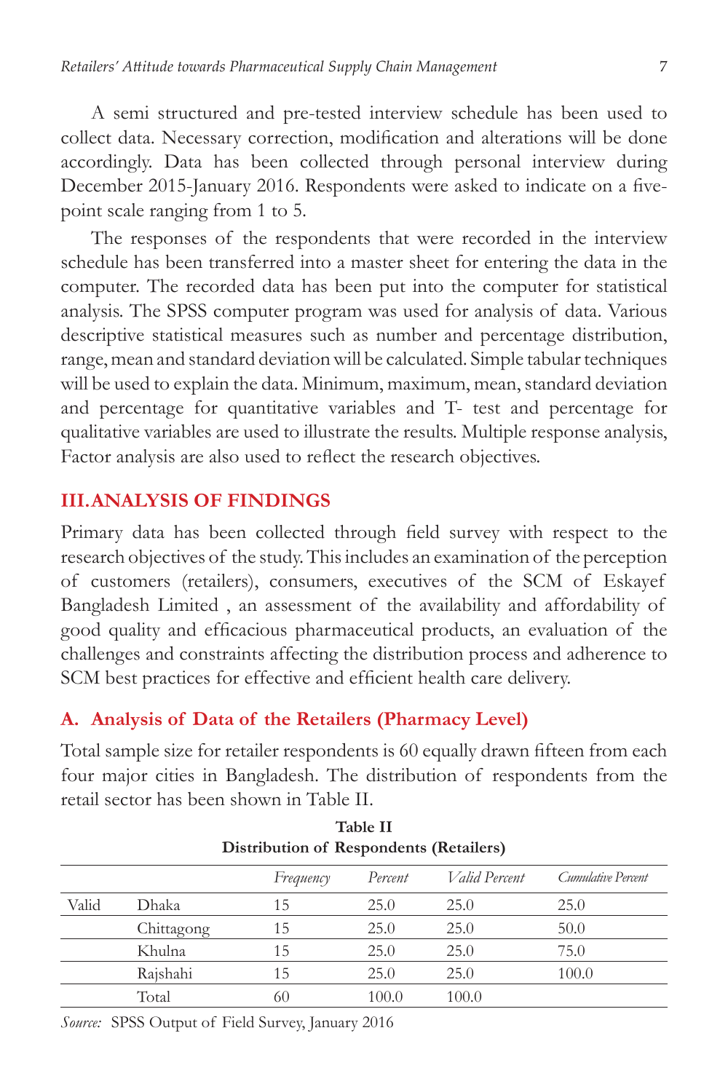A semi structured and pre-tested interview schedule has been used to collect data. Necessary correction, modification and alterations will be done accordingly. Data has been collected through personal interview during December 2015-January 2016. Respondents were asked to indicate on a fivepoint scale ranging from 1 to 5.

The responses of the respondents that were recorded in the interview schedule has been transferred into a master sheet for entering the data in the computer. The recorded data has been put into the computer for statistical analysis. The SPSS computer program was used for analysis of data. Various descriptive statistical measures such as number and percentage distribution, range, mean and standard deviation will be calculated. Simple tabular techniques will be used to explain the data. Minimum, maximum, mean, standard deviation and percentage for quantitative variables and T- test and percentage for qualitative variables are used to illustrate the results. Multiple response analysis, Factor analysis are also used to reflect the research objectives.

### **III. ANALYSIS OF FINDINGS**

Primary data has been collected through field survey with respect to the research objectives of the study. This includes an examination of the perception of customers (retailers), consumers, executives of the SCM of Eskayef Bangladesh Limited , an assessment of the availability and affordability of good quality and efficacious pharmaceutical products, an evaluation of the challenges and constraints affecting the distribution process and adherence to SCM best practices for effective and efficient health care delivery.

### **A. Analysis of Data of the Retailers (Pharmacy Level)**

Total sample size for retailer respondents is 60 equally drawn fifteen from each four major cities in Bangladesh. The distribution of respondents from the retail sector has been shown in Table II.

**Table II**

| таріе п<br>Distribution of Respondents (Retailers) |            |           |         |                      |                    |  |  |
|----------------------------------------------------|------------|-----------|---------|----------------------|--------------------|--|--|
|                                                    |            | Frequency | Percent | <i>Valid Percent</i> | Cumulative Percent |  |  |
| Valid                                              | Dhaka      | 15        | 25.0    | 25.0                 | 25.0               |  |  |
|                                                    | Chittagong | 15        | 25.0    | 25.0                 | 50.0               |  |  |
|                                                    | Khulna     | 15        | 25.0    | 25.0                 | 75.0               |  |  |
|                                                    | Rajshahi   | 15        | 25.0    | 25.0                 | 100.0              |  |  |
|                                                    | Total      | 60        | 100.0   | 100.0                |                    |  |  |

*Source:* SPSS Output of Field Survey, January 2016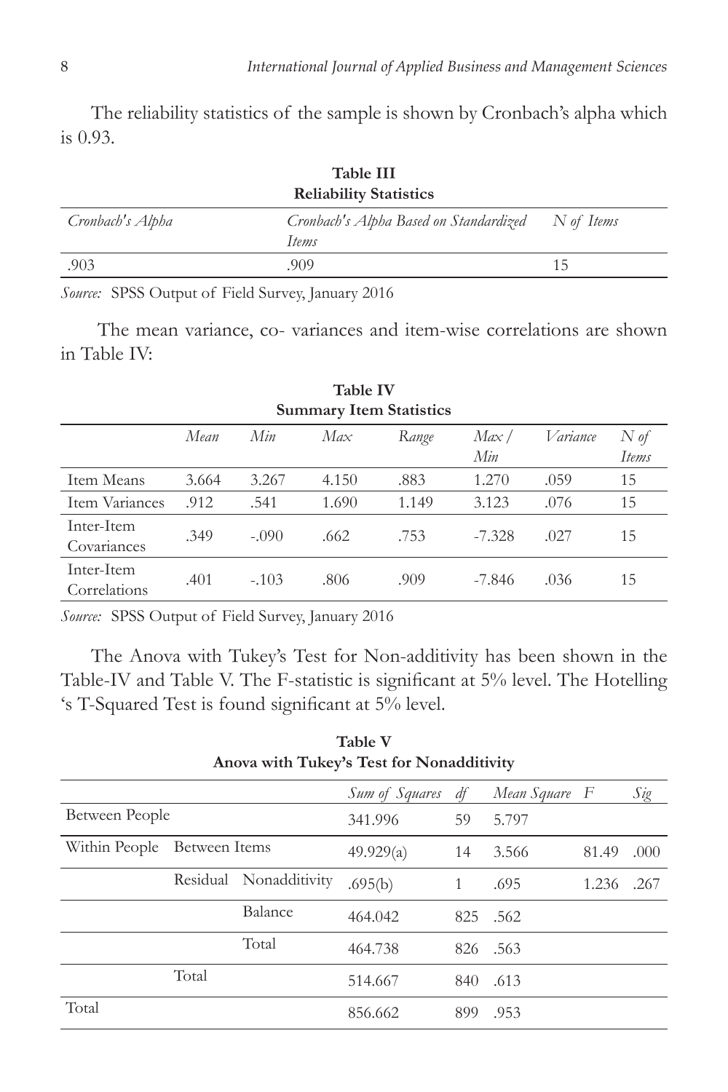The reliability statistics of the sample is shown by Cronbach's alpha which is 0.93.

| Table III<br><b>Reliability Statistics</b> |                                                 |            |  |  |  |
|--------------------------------------------|-------------------------------------------------|------------|--|--|--|
| Cronbach's Alpha                           | Cronbach's Alpha Based on Standardized<br>Items | N of Items |  |  |  |
| .903                                       | .909                                            | 15         |  |  |  |

*Source:* SPSS Output of Field Survey, January 2016

 The mean variance, co- variances and item-wise correlations are shown in Table IV:

| *********<br><b>Summary Item Statistics</b> |       |         |       |       |              |          |                     |  |
|---------------------------------------------|-------|---------|-------|-------|--------------|----------|---------------------|--|
|                                             | Mean  | Min     | Max   | Range | Max /<br>Min | Variance | $N \phi f$<br>Items |  |
| Item Means                                  | 3.664 | 3.267   | 4.150 | .883  | 1.270        | .059     | 15                  |  |
| Item Variances                              | .912  | .541    | 1.690 | 1.149 | 3.123        | .076     | 15                  |  |
| Inter-Item<br>Covariances                   | .349  | $-.090$ | .662  | .753  | $-7.328$     | .027     | 15                  |  |
| Inter-Item<br>Correlations                  | .401  | $-.103$ | .806  | .909  | -7.846       | .036     | 15                  |  |

**Table Iv**

*Source:* SPSS Output of Field Survey, January 2016

The Anova with Tukey's Test for Non-additivity has been shown in the Table-IV and Table V. The F-statistic is significant at 5% level. The Hotelling 's T-Squared Test is found significant at 5% level.

| Anova with Tukey's Test for Nonadditivity |               |                        |                |     |               |       |      |  |  |
|-------------------------------------------|---------------|------------------------|----------------|-----|---------------|-------|------|--|--|
|                                           |               |                        | Sum of Squares | df  | Mean Square F |       | Sig  |  |  |
| Between People                            |               |                        | 341.996        | 59  | 5.797         |       |      |  |  |
| Within People                             | Between Items |                        | 49.929(a)      | 14  | 3.566         | 81.49 | .000 |  |  |
|                                           |               | Residual Nonadditivity | .695(b)        | 1   | .695          | 1.236 | .267 |  |  |
|                                           |               | Balance                | 464.042        | 825 | .562          |       |      |  |  |
|                                           |               | Total                  | 464.738        | 826 | .563          |       |      |  |  |
|                                           | Total         |                        | 514.667        | 840 | .613          |       |      |  |  |
| Total                                     |               |                        | 856.662        | 899 | .953          |       |      |  |  |
|                                           |               |                        |                |     |               |       |      |  |  |

**Table V**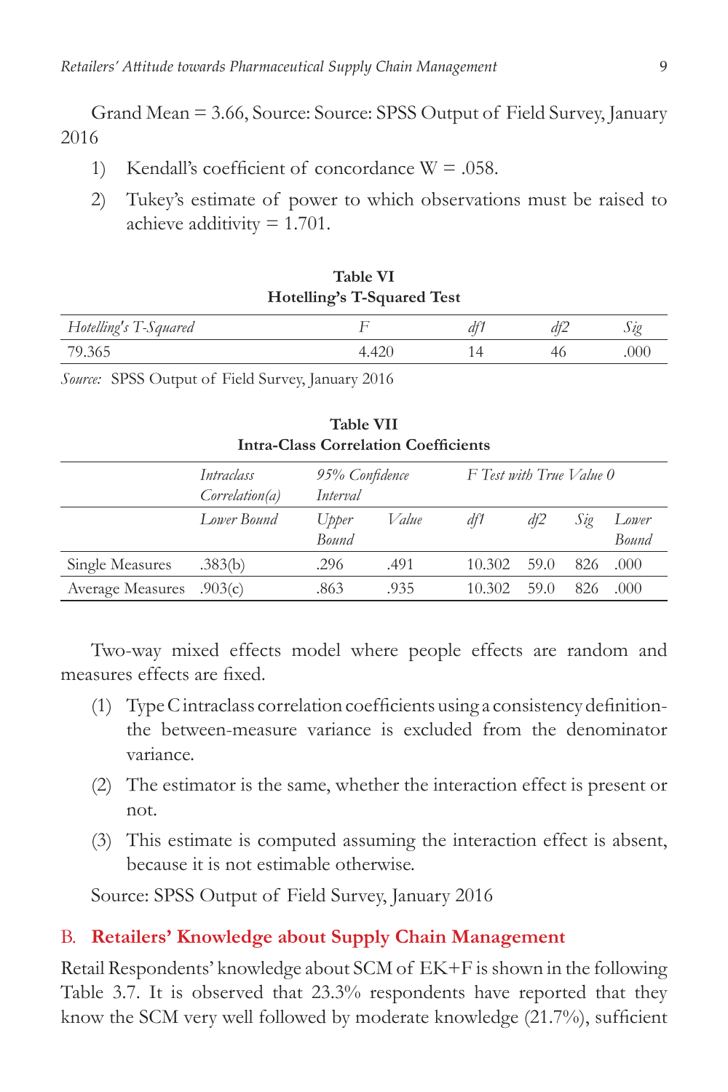Grand Mean = 3.66, Source: Source: SPSS Output of Field Survey, January 2016

- 1) Kendall's coefficient of concordance  $W = 0.058$ .
- 2) Tukey's estimate of power to which observations must be raised to achieve additivity = 1.701.

| Hotelling's T-Squared Test |       |  |    |      |  |  |
|----------------------------|-------|--|----|------|--|--|
| Hotelling's T-Squared      |       |  |    |      |  |  |
| 79.365                     | 4.420 |  | 46 | .000 |  |  |

**Table VI**

*Source:* SPSS Output of Field Survey, January 2016

| <b>Intra-Class Correlation Coefficients</b> |                              |                            |       |                          |      |     |                |  |
|---------------------------------------------|------------------------------|----------------------------|-------|--------------------------|------|-----|----------------|--|
|                                             | Intraclass<br>Correlation(a) | 95% Confidence<br>Interval |       | F Test with True Value 0 |      |     |                |  |
|                                             | Lower Bound                  | Upper<br>Bound             | Value | df1                      | df2  | Sig | Lower<br>Bound |  |
| Single Measures                             | .383(b)                      | .296                       | .491  | 10.302                   | 59.0 | 826 | .000           |  |
| <b>Average Measures</b>                     | .903(c)                      | .863                       | .935  | 10.302                   | 59.0 | 826 | .000           |  |

**Table VII**

Two-way mixed effects model where people effects are random and measures effects are fixed.

- (1) Type C intraclass correlation coefficients using a consistency definitionthe between-measure variance is excluded from the denominator variance.
- (2) The estimator is the same, whether the interaction effect is present or not.
- (3) This estimate is computed assuming the interaction effect is absent, because it is not estimable otherwise.

Source: SPSS Output of Field Survey, January 2016

#### B. **Retailers' Knowledge about Supply Chain Management**

Retail Respondents' knowledge about SCM of EK+F is shown in the following Table 3.7. It is observed that 23.3% respondents have reported that they know the SCM very well followed by moderate knowledge (21.7%), sufficient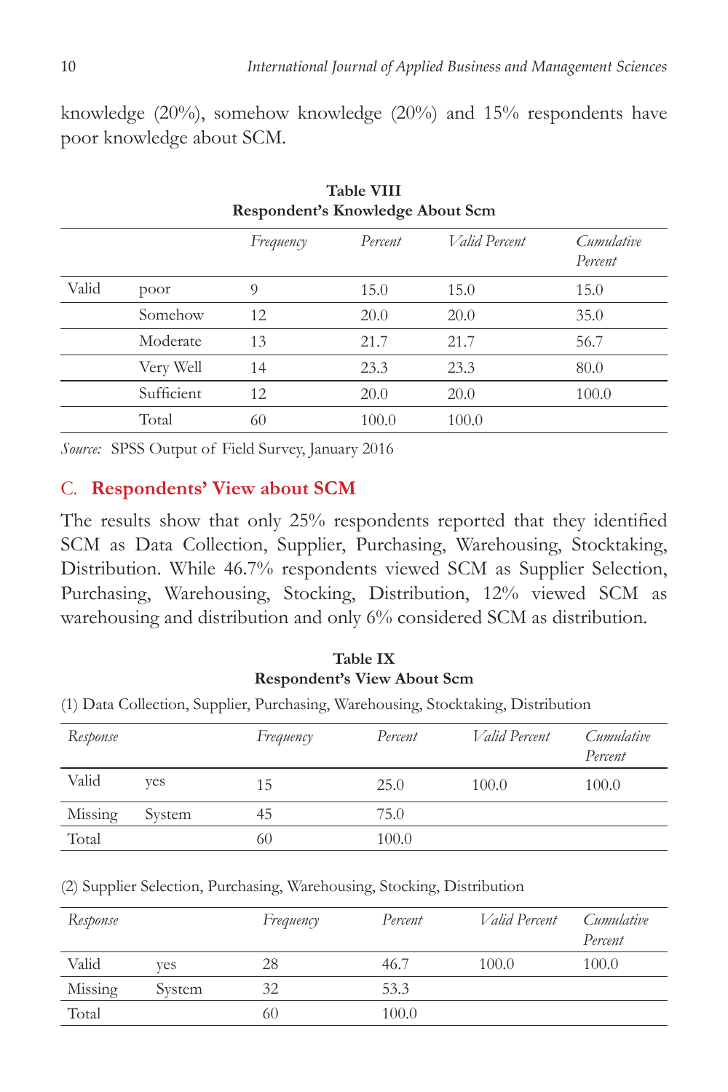knowledge (20%), somehow knowledge (20%) and 15% respondents have poor knowledge about SCM.

| Respondent's Knowledge About Scm |            |           |         |               |                       |  |
|----------------------------------|------------|-----------|---------|---------------|-----------------------|--|
|                                  |            | Frequency | Percent | Valid Percent | Cumulative<br>Percent |  |
| Valid                            | poor       | 9         | 15.0    | 15.0          | 15.0                  |  |
|                                  | Somehow    | 12        | 20.0    | 20.0          | 35.0                  |  |
|                                  | Moderate   | 13        | 21.7    | 21.7          | 56.7                  |  |
|                                  | Very Well  | 14        | 23.3    | 23.3          | 80.0                  |  |
|                                  | Sufficient | 12        | 20.0    | 20.0          | 100.0                 |  |
|                                  | Total      | 60        | 100.0   | 100.0         |                       |  |

**Table VIII**

*Source:* SPSS Output of Field Survey, January 2016

#### C. **Respondents' View about SCM**

The results show that only 25% respondents reported that they identified SCM as Data Collection, Supplier, Purchasing, Warehousing, Stocktaking, Distribution. While 46.7% respondents viewed SCM as Supplier Selection, Purchasing, Warehousing, Stocking, Distribution, 12% viewed SCM as warehousing and distribution and only 6% considered SCM as distribution.

### **Table IX Respondent's View About Scm**

(1) Data Collection, Supplier, Purchasing, Warehousing, Stocktaking, Distribution

| Response |        | Frequency | Percent | <i>Valid Percent</i> | Cumulative<br>Percent |
|----------|--------|-----------|---------|----------------------|-----------------------|
| Valid    | yes    | 15        | 25.0    | 100.0                | 100.0                 |
| Missing  | System | 45        | 75.0    |                      |                       |
| Total    |        | 60        | 100.0   |                      |                       |

(2) Supplier Selection, Purchasing, Warehousing, Stocking, Distribution

| Response |        | Frequency | Percent | <i>Valid Percent</i> | Cumulative<br>Percent |
|----------|--------|-----------|---------|----------------------|-----------------------|
| Valid    | ves    | 28        | 46.7    | 100.0                | 100.0                 |
| Missing  | System | 32        | 53.3    |                      |                       |
| Total    |        | 60        | 100.0   |                      |                       |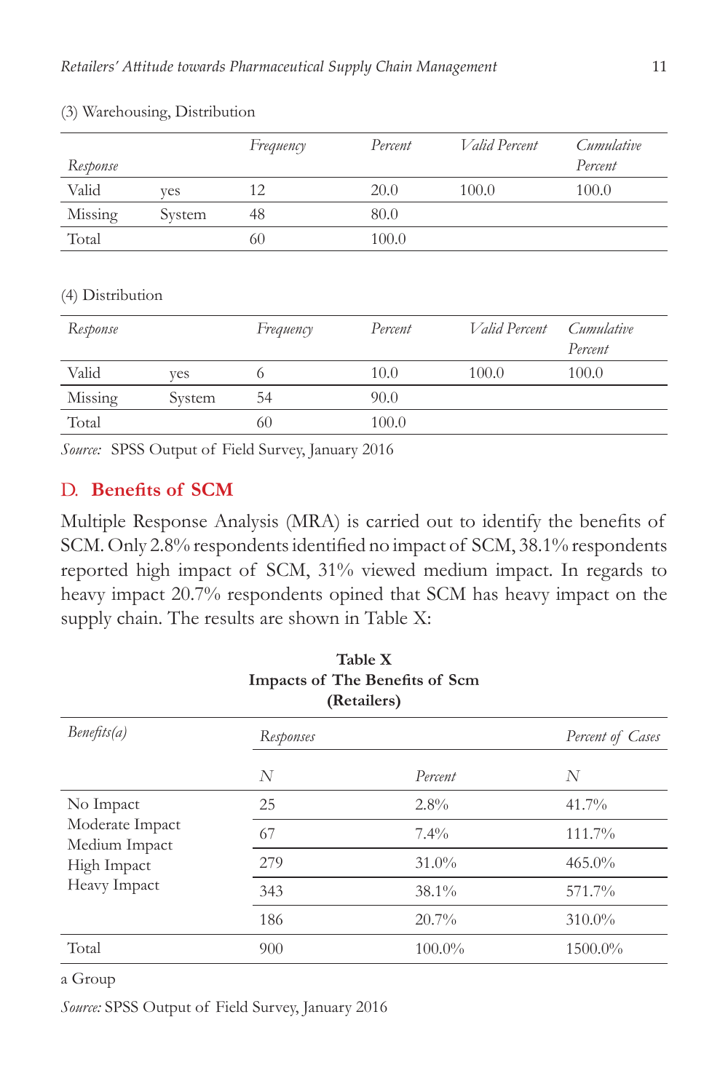| Response |        | Frequency | Percent | <i>Valid Percent</i> | Cumulative<br>Percent |
|----------|--------|-----------|---------|----------------------|-----------------------|
| Valid    | ves    | 12        | 20.0    | 100.0                | 100.0                 |
| Missing  | System | 48        | 80.0    |                      |                       |
| Total    |        | 60        | 100.0   |                      |                       |

#### (3) Warehousing, Distribution

#### (4) Distribution

| Response |        | Frequency | Percent | <i>Valid Percent</i> | Cumulative<br>Percent |
|----------|--------|-----------|---------|----------------------|-----------------------|
| Valid    | ves    |           | 10.0    | 100.0                | 100.0                 |
| Missing  | System | 54        | 90.0    |                      |                       |
| Total    |        | 60        | 100.0   |                      |                       |

*Source:* SPSS Output of Field Survey, January 2016

### D. **Benefits of SCM**

Multiple Response Analysis (MRA) is carried out to identify the benefits of SCM. Only 2.8% respondents identified no impact of SCM, 38.1% respondents reported high impact of SCM, 31% viewed medium impact. In regards to heavy impact 20.7% respondents opined that SCM has heavy impact on the supply chain. The results are shown in Table X:

| <b>Table X</b><br>Impacts of The Benefits of Scm<br>(Retailers)              |           |           |                  |  |  |
|------------------------------------------------------------------------------|-----------|-----------|------------------|--|--|
| Benefts(a)                                                                   | Responses |           | Percent of Cases |  |  |
|                                                                              | N         | Percent   | N                |  |  |
| No Impact<br>Moderate Impact<br>Medium Impact<br>High Impact<br>Heavy Impact | 25        | $2.8\%$   | $41.7\%$         |  |  |
|                                                                              | 67        | $7.4\%$   | 111.7%           |  |  |
|                                                                              | 279       | $31.0\%$  | $465.0\%$        |  |  |
|                                                                              | 343       | $38.1\%$  | 571.7%           |  |  |
|                                                                              | 186       | 20.7%     | 310.0%           |  |  |
| Total                                                                        | 900       | $100.0\%$ | 1500.0%          |  |  |

#### a Group

*Source:* SPSS Output of Field Survey, January 2016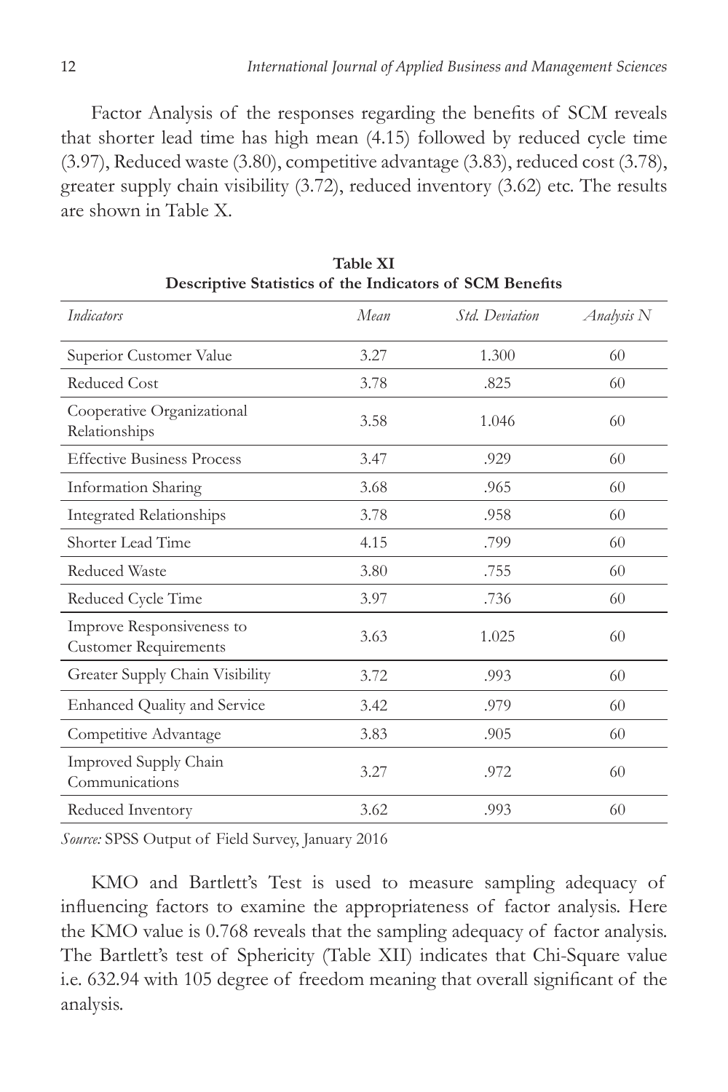Factor Analysis of the responses regarding the benefits of SCM reveals that shorter lead time has high mean (4.15) followed by reduced cycle time (3.97), Reduced waste (3.80), competitive advantage (3.83), reduced cost (3.78), greater supply chain visibility (3.72), reduced inventory (3.62) etc. The results are shown in Table X.

| Indicators                                                | Mean | Std. Deviation | Analysis N |
|-----------------------------------------------------------|------|----------------|------------|
| Superior Customer Value                                   | 3.27 | 1.300          | 60         |
| <b>Reduced Cost</b>                                       | 3.78 | .825           | 60         |
| Cooperative Organizational<br>Relationships               | 3.58 | 1.046          | 60         |
| <b>Effective Business Process</b>                         | 3.47 | .929           | 60         |
| Information Sharing                                       | 3.68 | .965           | 60         |
| <b>Integrated Relationships</b>                           | 3.78 | .958           | 60         |
| Shorter Lead Time                                         | 4.15 | .799           | 60         |
| <b>Reduced Waste</b>                                      | 3.80 | .755           | 60         |
| Reduced Cycle Time                                        | 3.97 | .736           | 60         |
| Improve Responsiveness to<br><b>Customer Requirements</b> | 3.63 | 1.025          | 60         |
| Greater Supply Chain Visibility                           | 3.72 | .993           | 60         |
| <b>Enhanced Quality and Service</b>                       | 3.42 | .979           | 60         |
| Competitive Advantage                                     | 3.83 | .905           | 60         |
| Improved Supply Chain<br>Communications                   | 3.27 | .972           | 60         |
| Reduced Inventory                                         | 3.62 | .993           | 60         |

**Table XI Descriptive Statistics of the Indicators of Scm Benefits**

*Source:* SPSS Output of Field Survey, January 2016

KMO and Bartlett's Test is used to measure sampling adequacy of influencing factors to examine the appropriateness of factor analysis. Here the KMO value is 0.768 reveals that the sampling adequacy of factor analysis. The Bartlett's test of Sphericity (Table XII) indicates that Chi-Square value i.e. 632.94 with 105 degree of freedom meaning that overall significant of the analysis.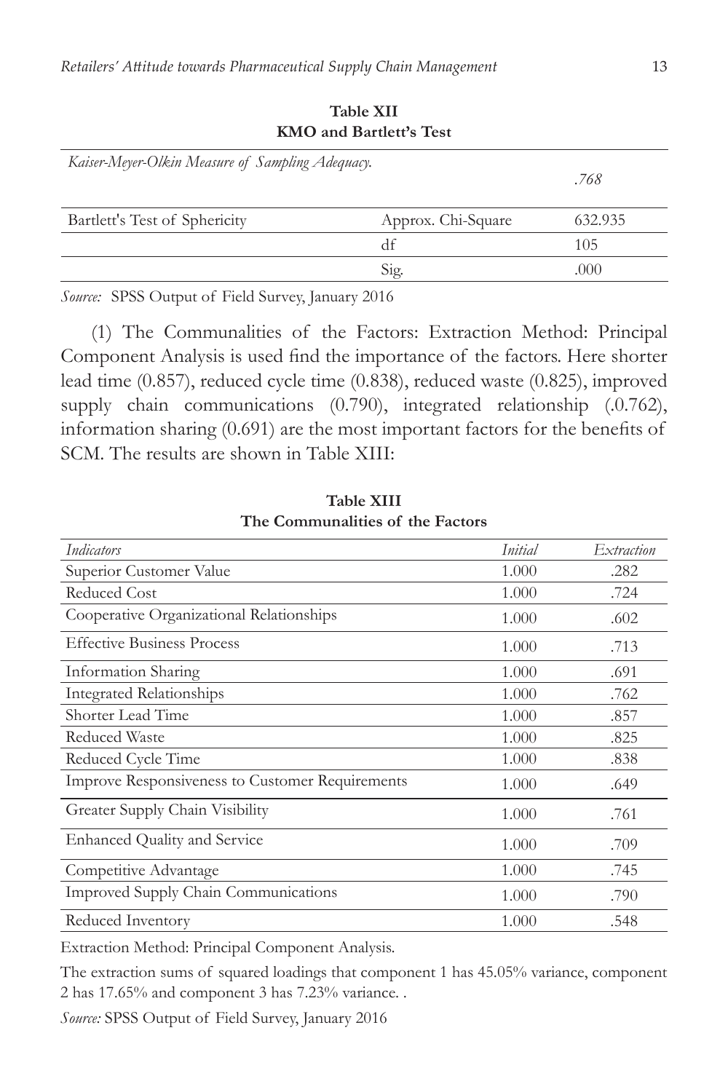| Kaiser-Meyer-Olkin Measure of Sampling Adequacy. |                    | .768    |
|--------------------------------------------------|--------------------|---------|
| Bartlett's Test of Sphericity                    | Approx. Chi-Square | 632.935 |
|                                                  | df                 | 105     |
|                                                  | Sig.               | .000    |

**Table XII KMO and Bartlett's Test**

*Source:* SPSS Output of Field Survey, January 2016

(1) The Communalities of the Factors: Extraction Method: Principal Component Analysis is used find the importance of the factors. Here shorter lead time (0.857), reduced cycle time (0.838), reduced waste (0.825), improved supply chain communications (0.790), integrated relationship (.0.762), information sharing (0.691) are the most important factors for the benefits of SCM. The results are shown in Table XIII:

| Indicators                                      | Initial | Extraction |
|-------------------------------------------------|---------|------------|
| Superior Customer Value                         | 1.000   | .282       |
| <b>Reduced Cost</b>                             | 1.000   | .724       |
| Cooperative Organizational Relationships        | 1.000   | .602       |
| <b>Effective Business Process</b>               | 1.000   | .713       |
| Information Sharing                             | 1.000   | .691       |
| <b>Integrated Relationships</b>                 | 1.000   | .762       |
| Shorter Lead Time                               | 1.000   | .857       |
| <b>Reduced Waste</b>                            | 1.000   | .825       |
| Reduced Cycle Time                              | 1.000   | .838       |
| Improve Responsiveness to Customer Requirements | 1.000   | .649       |
| Greater Supply Chain Visibility                 | 1.000   | .761       |
| <b>Enhanced Quality and Service</b>             | 1.000   | .709       |
| Competitive Advantage                           | 1.000   | .745       |
| Improved Supply Chain Communications            | 1.000   | .790       |
| Reduced Inventory                               | 1.000   | .548       |

**Table XIII The Communalities of the Factors**

Extraction Method: Principal Component Analysis.

The extraction sums of squared loadings that component 1 has 45.05% variance, component 2 has 17.65% and component 3 has 7.23% variance. .

*Source:* SPSS Output of Field Survey, January 2016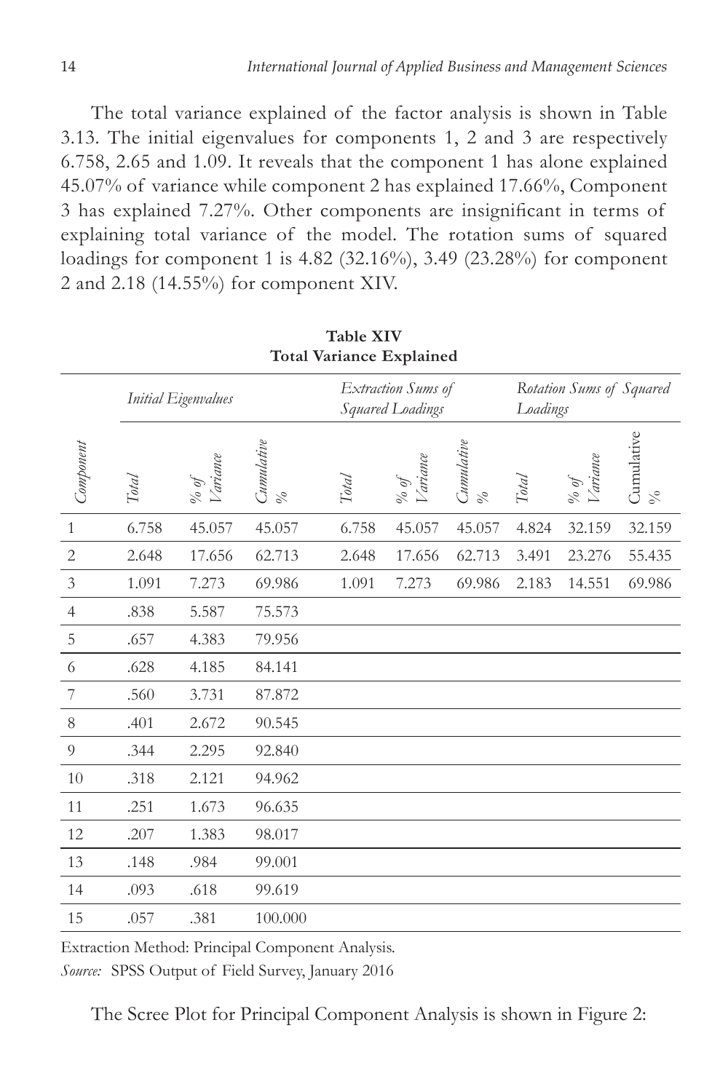The total variance explained of the factor analysis is shown in Table 3.13. The initial eigenvalues for components 1, 2 and 3 are respectively 6.758, 2.65 and 1.09. It reveals that the component 1 has alone explained 45.07% of variance while component 2 has explained 17.66%, Component 3 has explained 7.27%. Other components are insignificant in terms of explaining total variance of the model. The rotation sums of squared loadings for component 1 is 4.82 (32.16%), 3.49 (23.28%) for component 2 and 2.18 (14.55%) for component XIV.

| <b>Total Variance Explained</b> |                     |                                                    |                               |              |                                        |                           |       |                                      |                               |
|---------------------------------|---------------------|----------------------------------------------------|-------------------------------|--------------|----------------------------------------|---------------------------|-------|--------------------------------------|-------------------------------|
|                                 | Initial Eigenvalues |                                                    |                               |              | Extraction Sums of<br>Squared Loadings |                           |       | Rotation Sums of Squared<br>Loadings |                               |
| Component                       | <b>Total</b>        | <i>ariance</i><br>$\frac{\partial}{\partial \rho}$ | Cumulative<br>$\mathcal{S}_o$ | <b>Total</b> | <i>Variance</i><br>% of                | <i>Cumulative</i><br>$\%$ | Total | <i>Cariance</i><br>fo of             | Cumulative<br>$\mathcal{S}_0$ |
| $\mathbf{1}$                    | 6.758               | 45.057                                             | 45.057                        | 6.758        | 45.057                                 | 45.057                    | 4.824 | 32.159                               | 32.159                        |
| $\mathbf{2}$                    | 2.648               | 17.656                                             | 62.713                        | 2.648        | 17.656                                 | 62.713                    | 3.491 | 23.276                               | 55.435                        |
| $\mathfrak{Z}$                  | 1.091               | 7.273                                              | 69.986                        | 1.091        | 7.273                                  | 69.986                    | 2.183 | 14.551                               | 69.986                        |
| $\overline{4}$                  | .838                | 5.587                                              | 75.573                        |              |                                        |                           |       |                                      |                               |
| 5                               | .657                | 4.383                                              | 79.956                        |              |                                        |                           |       |                                      |                               |
| 6                               | .628                | 4.185                                              | 84.141                        |              |                                        |                           |       |                                      |                               |
| 7                               | .560                | 3.731                                              | 87.872                        |              |                                        |                           |       |                                      |                               |
| 8                               | .401                | 2.672                                              | 90.545                        |              |                                        |                           |       |                                      |                               |
| $\overline{9}$                  | .344                | 2.295                                              | 92.840                        |              |                                        |                           |       |                                      |                               |
| 10                              | .318                | 2.121                                              | 94.962                        |              |                                        |                           |       |                                      |                               |
| 11                              | .251                | 1.673                                              | 96.635                        |              |                                        |                           |       |                                      |                               |
| 12                              | .207                | 1.383                                              | 98.017                        |              |                                        |                           |       |                                      |                               |
| 13                              | .148                | .984                                               | 99.001                        |              |                                        |                           |       |                                      |                               |
| 14                              | .093                | .618                                               | 99.619                        |              |                                        |                           |       |                                      |                               |
| 15                              | .057                | .381                                               | 100.000                       |              |                                        |                           |       |                                      |                               |

**Table XIV**

Extraction Method: Principal Component Analysis. *Source:* SPSS Output of Field Survey, January 2016

The Scree Plot for Principal Component Analysis is shown in Figure 2: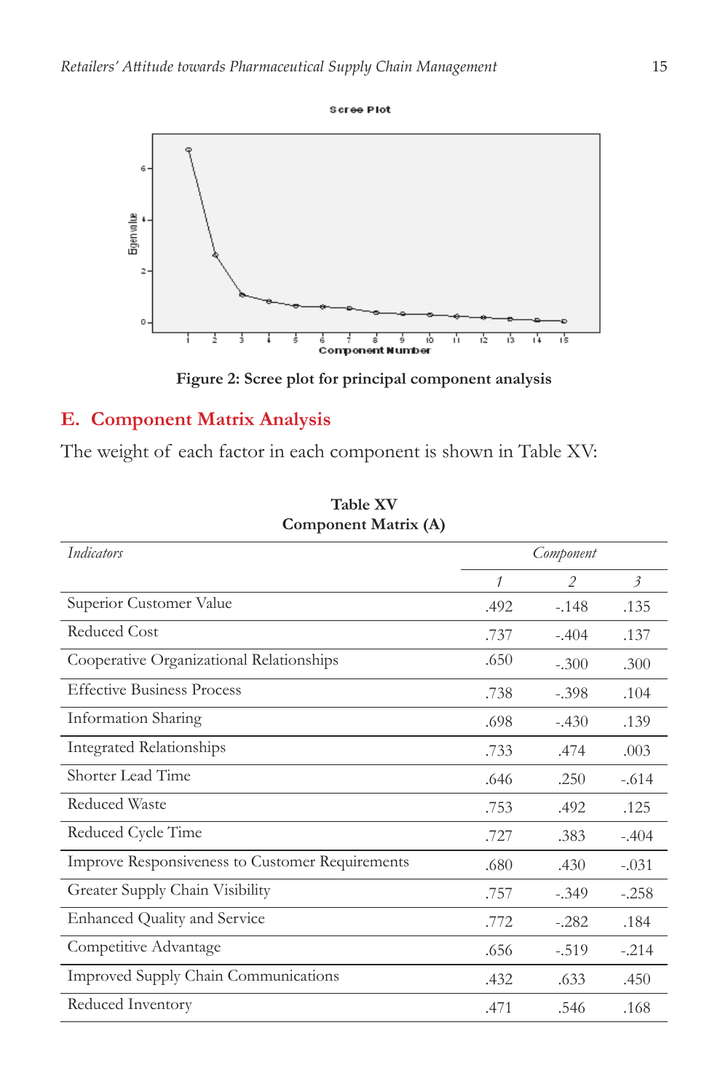



**Figure 2: Scree plot for principal component analysis**

# **E. Component Matrix Analysis**

The weight of each factor in each component is shown in Table XV:

| Component Matrix (A)                            |               |               |                           |  |  |  |
|-------------------------------------------------|---------------|---------------|---------------------------|--|--|--|
| <b>Indicators</b>                               | Component     |               |                           |  |  |  |
|                                                 | $\mathcal{I}$ | $\mathcal{P}$ | $\overline{\mathfrak{z}}$ |  |  |  |
| Superior Customer Value                         | .492          | $-.148$       | .135                      |  |  |  |
| Reduced Cost                                    | .737          | $-.404$       | .137                      |  |  |  |
| Cooperative Organizational Relationships        | .650          | $-.300$       | .300                      |  |  |  |
| <b>Effective Business Process</b>               | .738          | $-.398$       | .104                      |  |  |  |
| Information Sharing                             | .698          | $-.430$       | .139                      |  |  |  |
| <b>Integrated Relationships</b>                 | .733          | .474          | .003                      |  |  |  |
| Shorter Lead Time                               | .646          | .250          | $-.614$                   |  |  |  |
| Reduced Waste                                   | .753          | .492          | .125                      |  |  |  |
| Reduced Cycle Time                              | .727          | .383          | $-.404$                   |  |  |  |
| Improve Responsiveness to Customer Requirements | .680          | .430          | $-.031$                   |  |  |  |
| Greater Supply Chain Visibility                 | .757          | $-.349$       | $-.258$                   |  |  |  |
| <b>Enhanced Quality and Service</b>             | .772          | $-.282$       | .184                      |  |  |  |
| Competitive Advantage                           | .656          | $-.519$       | $-.214$                   |  |  |  |
| Improved Supply Chain Communications            | .432          | .633          | .450                      |  |  |  |
| Reduced Inventory                               | .471          | .546          | .168                      |  |  |  |

**Table XV Component Matrix (A)**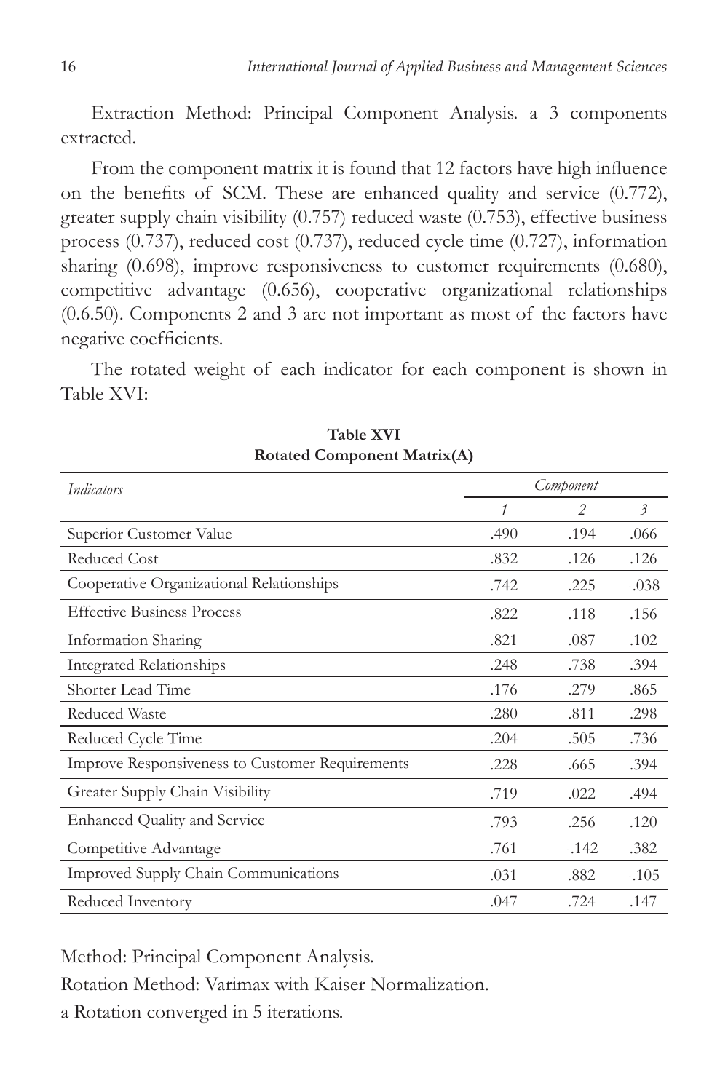Extraction Method: Principal Component Analysis. a 3 components extracted.

From the component matrix it is found that 12 factors have high influence on the benefits of SCM. These are enhanced quality and service (0.772), greater supply chain visibility (0.757) reduced waste (0.753), effective business process (0.737), reduced cost (0.737), reduced cycle time (0.727), information sharing (0.698), improve responsiveness to customer requirements (0.680), competitive advantage (0.656), cooperative organizational relationships (0.6.50). Components 2 and 3 are not important as most of the factors have negative coefficients.

The rotated weight of each indicator for each component is shown in Table XVI:

| Indicators                                      | Component |               |                           |
|-------------------------------------------------|-----------|---------------|---------------------------|
|                                                 | 1         | $\mathcal{P}$ | $\overline{\mathfrak{z}}$ |
| Superior Customer Value                         | .490      | .194          | .066                      |
| <b>Reduced Cost</b>                             | .832      | .126          | .126                      |
| Cooperative Organizational Relationships        | .742      | .225          | $-.038$                   |
| <b>Effective Business Process</b>               | .822      | .118          | .156                      |
| Information Sharing                             | .821      | .087          | .102                      |
| <b>Integrated Relationships</b>                 | .248      | .738          | .394                      |
| Shorter Lead Time                               | .176      | .279          | .865                      |
| <b>Reduced Waste</b>                            | .280      | .811          | .298                      |
| Reduced Cycle Time                              | .204      | .505          | .736                      |
| Improve Responsiveness to Customer Requirements | .228      | .665          | .394                      |
| Greater Supply Chain Visibility                 | .719      | .022          | .494                      |
| <b>Enhanced Quality and Service</b>             | .793      | .256          | .120                      |
| Competitive Advantage                           | .761      | $-.142$       | .382                      |
| Improved Supply Chain Communications            | .031      | .882          | $-.105$                   |
| Reduced Inventory                               | .047      | .724          | .147                      |

**Table Xvi Rotated Component Matrix(A)**

Method: Principal Component Analysis.

Rotation Method: Varimax with Kaiser Normalization.

a Rotation converged in 5 iterations.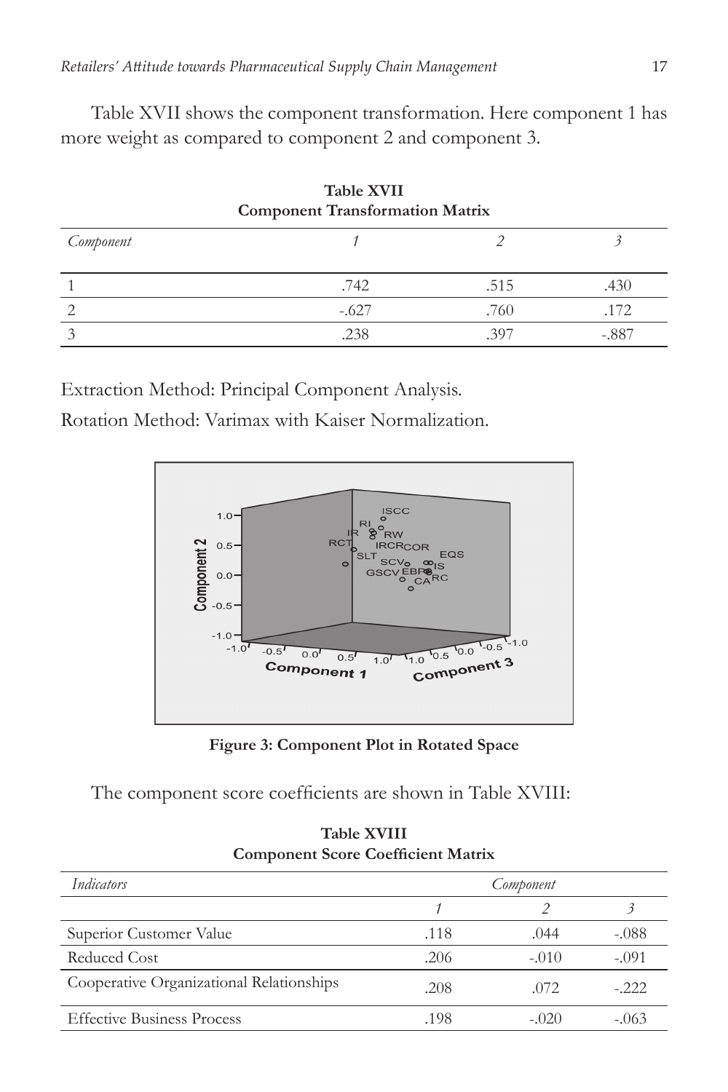Table XVII shows the component transformation. Here component 1 has more weight as compared to component 2 and component 3.

| $\sim$ which is a rest in the set of $\sim$<br><b>Component Transformation Matrix</b> |         |      |         |  |  |
|---------------------------------------------------------------------------------------|---------|------|---------|--|--|
| Component                                                                             |         |      |         |  |  |
|                                                                                       | .742    | .515 | .430    |  |  |
|                                                                                       | $-.627$ | .760 | .172    |  |  |
|                                                                                       | .238    | 397  | $-.887$ |  |  |

**Table Xvii**

Extraction Method: Principal Component Analysis.

Rotation Method: Varimax with Kaiser Normalization.



**Figure 3: Component Plot in Rotated Space**

The component score coefficients are shown in Table XVIII:

|                                          | somponent ceore socialistic natural |         |         |  |  |  |
|------------------------------------------|-------------------------------------|---------|---------|--|--|--|
| Indicators                               | Component                           |         |         |  |  |  |
|                                          |                                     |         |         |  |  |  |
| Superior Customer Value                  | .118                                | .044    | $-.088$ |  |  |  |
| Reduced Cost                             | .206                                | $-.010$ | $-.091$ |  |  |  |
| Cooperative Organizational Relationships | .208                                | .072    | $-.222$ |  |  |  |
| <b>Effective Business Process</b>        | .198                                | $-.020$ | $-.063$ |  |  |  |

**Table Xviii Component Score Coefficient Matrix**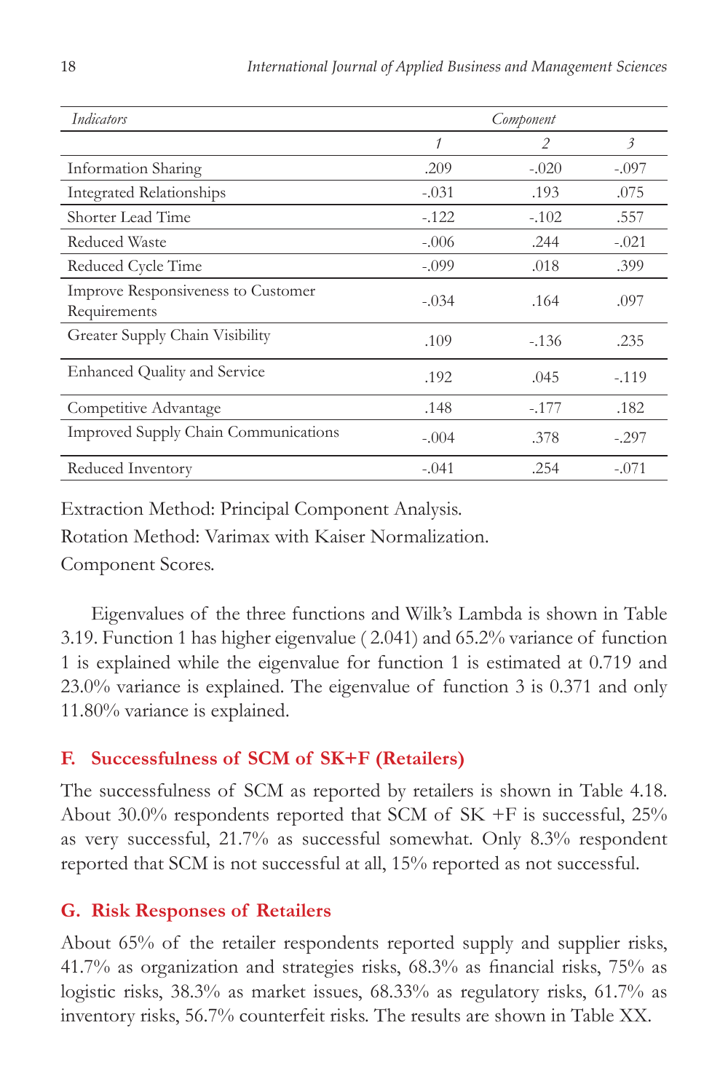| Indicators                                         | Component |         |                           |
|----------------------------------------------------|-----------|---------|---------------------------|
|                                                    | 1         | 2       | $\overline{\mathfrak{z}}$ |
| Information Sharing                                | .209      | $-.020$ | $-.097$                   |
| <b>Integrated Relationships</b>                    | $-.031$   | .193    | .075                      |
| Shorter Lead Time                                  | $-122$    | $-.102$ | .557                      |
| Reduced Waste                                      | $-.006$   | .244    | $-.021$                   |
| Reduced Cycle Time                                 | $-.099$   | .018    | .399                      |
| Improve Responsiveness to Customer<br>Requirements | $-.034$   | .164    | .097                      |
| Greater Supply Chain Visibility                    | .109      | $-136$  | .235                      |
| <b>Enhanced Quality and Service</b>                | .192      | .045    | $-.119$                   |
| Competitive Advantage                              | .148      | $-.177$ | .182                      |
| Improved Supply Chain Communications               | $-.004$   | .378    | $-.297$                   |
| Reduced Inventory                                  | $-.041$   | .254    | $-.071$                   |

Extraction Method: Principal Component Analysis. Rotation Method: Varimax with Kaiser Normalization.

Component Scores.

Eigenvalues of the three functions and Wilk's Lambda is shown in Table 3.19. Function 1 has higher eigenvalue ( 2.041) and 65.2% variance of function 1 is explained while the eigenvalue for function 1 is estimated at 0.719 and 23.0% variance is explained. The eigenvalue of function 3 is 0.371 and only 11.80% variance is explained.

# **F. Successfulness of SCM of SK+F (Retailers)**

The successfulness of SCM as reported by retailers is shown in Table 4.18. About 30.0% respondents reported that SCM of SK +F is successful, 25% as very successful, 21.7% as successful somewhat. Only 8.3% respondent reported that SCM is not successful at all, 15% reported as not successful.

# **G. Risk Responses of Retailers**

About 65% of the retailer respondents reported supply and supplier risks, 41.7% as organization and strategies risks, 68.3% as financial risks, 75% as logistic risks, 38.3% as market issues, 68.33% as regulatory risks, 61.7% as inventory risks, 56.7% counterfeit risks. The results are shown in Table XX.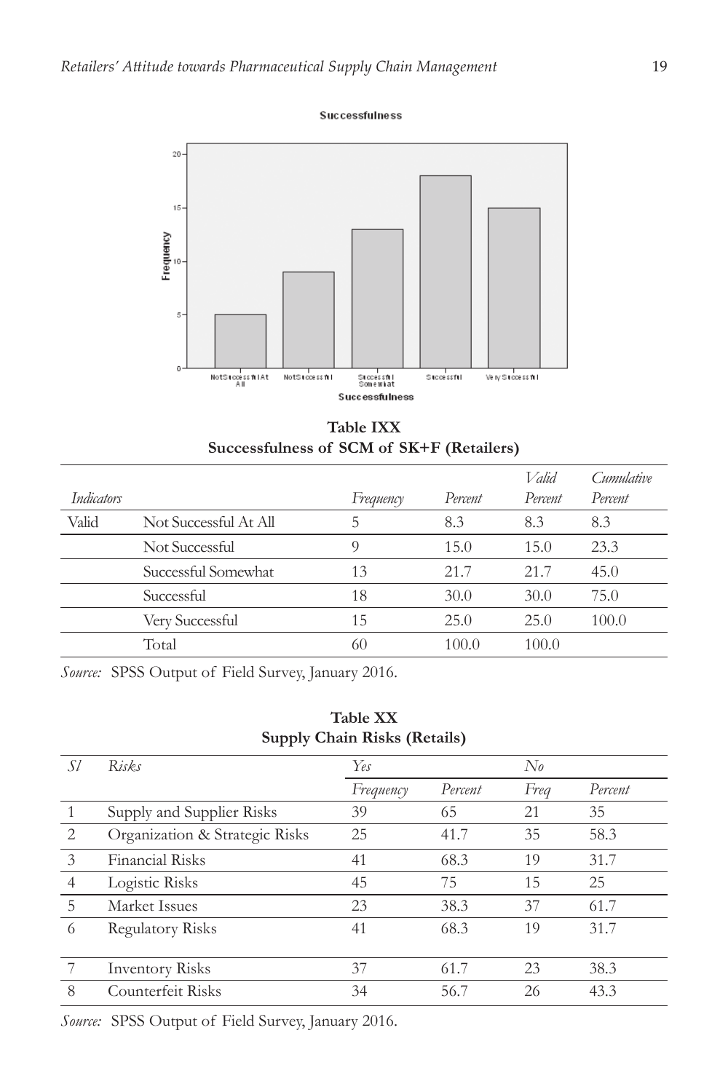Successfulness



**Table IXX Successfulness of SCM of SK+F (Retailers)**

|                   |                       |           |         | Valid   | Cumulative |
|-------------------|-----------------------|-----------|---------|---------|------------|
| <i>Indicators</i> |                       | Frequency | Percent | Percent | Percent    |
| Valid             | Not Successful At All | 5         | 8.3     | 8.3     | 8.3        |
|                   | Not Successful        | 9         | 15.0    | 15.0    | 23.3       |
|                   | Successful Somewhat   | 13        | 21.7    | 21.7    | 45.0       |
|                   | Successful            | 18        | 30.0    | 30.0    | 75.0       |
|                   | Very Successful       | 15        | 25.0    | 25.0    | 100.0      |
|                   | Total                 | 60        | 100.0   | 100.0   |            |

*Source:* SPSS Output of Field Survey, January 2016.

| <b>Supply Chain Risks (Retails)</b> |                                |           |         |              |         |  |  |
|-------------------------------------|--------------------------------|-----------|---------|--------------|---------|--|--|
| Sl                                  | Risks                          | Yes       |         | $N_{\theta}$ |         |  |  |
|                                     |                                | Frequency | Percent | Freg         | Percent |  |  |
| 1                                   | Supply and Supplier Risks      | 39        | 65      | 21           | 35      |  |  |
| 2                                   | Organization & Strategic Risks | 25        | 41.7    | 35           | 58.3    |  |  |
| 3                                   | <b>Financial Risks</b>         | 41        | 68.3    | 19           | 31.7    |  |  |
| $\overline{4}$                      | Logistic Risks                 | 45        | 75      | 15           | 25      |  |  |
| 5                                   | Market Issues                  | 23        | 38.3    | 37           | 61.7    |  |  |
| 6                                   | Regulatory Risks               | 41        | 68.3    | 19           | 31.7    |  |  |
| $7\phantom{.0}$                     | <b>Inventory Risks</b>         | 37        | 61.7    | 23           | 38.3    |  |  |
| 8                                   | Counterfeit Risks              | 34        | 56.7    | 26           | 43.3    |  |  |

*Source:* SPSS Output of Field Survey, January 2016.

|  | <b>Table XX</b>                              |  |  |
|--|----------------------------------------------|--|--|
|  | $\alpha$ $\alpha$ $\alpha$ $\alpha$ $\alpha$ |  |  |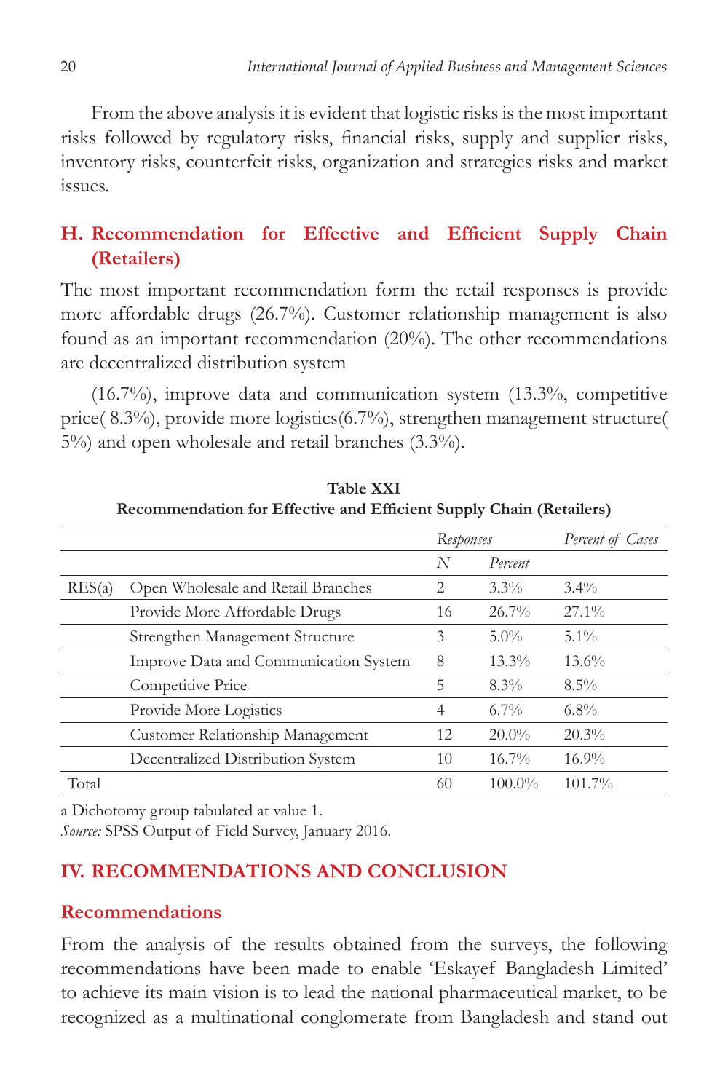From the above analysis it is evident that logistic risks is the most important risks followed by regulatory risks, financial risks, supply and supplier risks, inventory risks, counterfeit risks, organization and strategies risks and market issues.

# **H. Recommendation for Effective and Efficient Supply Chain (Retailers)**

The most important recommendation form the retail responses is provide more affordable drugs (26.7%). Customer relationship management is also found as an important recommendation (20%). The other recommendations are decentralized distribution system

(16.7%), improve data and communication system (13.3%, competitive price( 8.3%), provide more logistics(6.7%), strengthen management structure( 5%) and open wholesale and retail branches (3.3%).

|        |                                       | Responses      |           | Percent of Cases |  |  |
|--------|---------------------------------------|----------------|-----------|------------------|--|--|
|        |                                       | N              | Percent   |                  |  |  |
| RES(a) | Open Wholesale and Retail Branches    | 2              | $3.3\%$   | $3.4\%$          |  |  |
|        | Provide More Affordable Drugs         | 16             | $26.7\%$  | $27.1\%$         |  |  |
|        | Strengthen Management Structure       | 3              | $5.0\%$   | $5.1\%$          |  |  |
|        | Improve Data and Communication System | 8              | $13.3\%$  | $13.6\%$         |  |  |
|        | Competitive Price                     | 5              | $8.3\%$   | $8.5\%$          |  |  |
|        | Provide More Logistics                | $\overline{4}$ | $6.7\%$   | $6.8\%$          |  |  |
|        | Customer Relationship Management      | 12             | $20.0\%$  | $20.3\%$         |  |  |
|        | Decentralized Distribution System     | 10             | $16.7\%$  | $16.9\%$         |  |  |
| Total  |                                       | 60             | $100.0\%$ | 101.7%           |  |  |

**Table Xxi Recommendation for Effective and Efficient Supply Chain (Retailers)**

a Dichotomy group tabulated at value 1.

*Source:* SPSS Output of Field Survey, January 2016.

# **Iv. Recommendations and Conclusion**

### **Recommendations**

From the analysis of the results obtained from the surveys, the following recommendations have been made to enable 'Eskayef Bangladesh Limited' to achieve its main vision is to lead the national pharmaceutical market, to be recognized as a multinational conglomerate from Bangladesh and stand out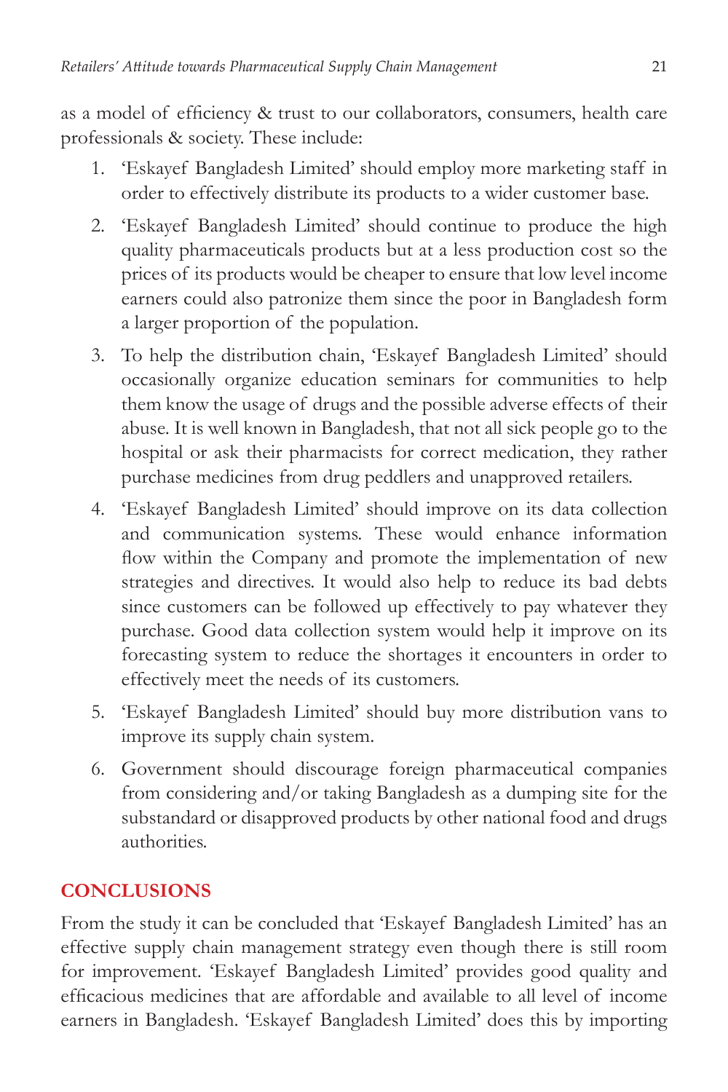as a model of efficiency & trust to our collaborators, consumers, health care professionals & society. These include:

- 1. 'Eskayef Bangladesh Limited' should employ more marketing staff in order to effectively distribute its products to a wider customer base.
- 2. 'Eskayef Bangladesh Limited' should continue to produce the high quality pharmaceuticals products but at a less production cost so the prices of its products would be cheaper to ensure that low level income earners could also patronize them since the poor in Bangladesh form a larger proportion of the population.
- 3. To help the distribution chain, 'Eskayef Bangladesh Limited' should occasionally organize education seminars for communities to help them know the usage of drugs and the possible adverse effects of their abuse. It is well known in Bangladesh, that not all sick people go to the hospital or ask their pharmacists for correct medication, they rather purchase medicines from drug peddlers and unapproved retailers.
- 4. 'Eskayef Bangladesh Limited' should improve on its data collection and communication systems. These would enhance information flow within the Company and promote the implementation of new strategies and directives. It would also help to reduce its bad debts since customers can be followed up effectively to pay whatever they purchase. Good data collection system would help it improve on its forecasting system to reduce the shortages it encounters in order to effectively meet the needs of its customers.
- 5. 'Eskayef Bangladesh Limited' should buy more distribution vans to improve its supply chain system.
- 6. Government should discourage foreign pharmaceutical companies from considering and/or taking Bangladesh as a dumping site for the substandard or disapproved products by other national food and drugs authorities.

# **Conclusions**

From the study it can be concluded that 'Eskayef Bangladesh Limited' has an effective supply chain management strategy even though there is still room for improvement. 'Eskayef Bangladesh Limited' provides good quality and efficacious medicines that are affordable and available to all level of income earners in Bangladesh. 'Eskayef Bangladesh Limited' does this by importing